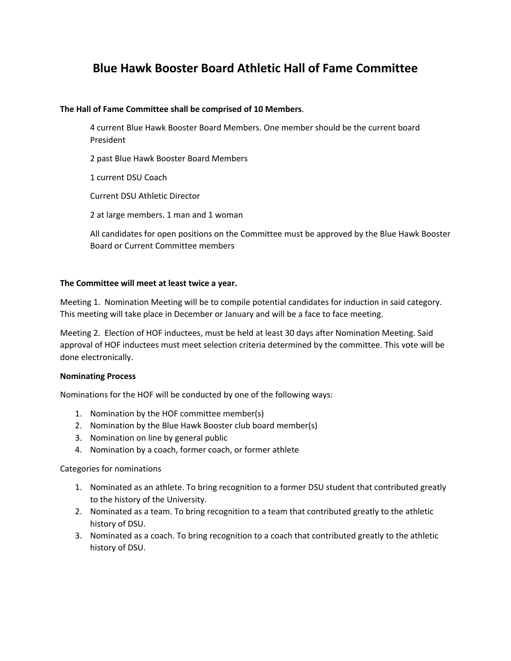# **Blue Hawk Booster Board Athletic Hall of Fame Committee**

#### **The Hall of Fame Committee shall be comprised of 10 Members**.

4 current Blue Hawk Booster Board Members. One member should be the current board President

2 past Blue Hawk Booster Board Members

1 current DSU Coach

Current DSU Athletic Director

2 at large members. 1 man and 1 woman

All candidates for open positions on the Committee must be approved by the Blue Hawk Booster Board or Current Committee members

#### **The Committee will meet at least twice a year.**

Meeting 1. Nomination Meeting will be to compile potential candidates for induction in said category. This meeting will take place in December or January and will be a face to face meeting.

Meeting 2. Election of HOF inductees, must be held at least 30 days after Nomination Meeting. Said approval of HOF inductees must meet selection criteria determined by the committee. This vote will be done electronically.

#### **Nominating Process**

Nominations for the HOF will be conducted by one of the following ways:

- 1. Nomination by the HOF committee member(s)
- 2. Nomination by the Blue Hawk Booster club board member(s)
- 3. Nomination on line by general public
- 4. Nomination by a coach, former coach, or former athlete

Categories for nominations

- 1. Nominated as an athlete. To bring recognition to a former DSU student that contributed greatly to the history of the University.
- 2. Nominated as a team. To bring recognition to a team that contributed greatly to the athletic history of DSU.
- 3. Nominated as a coach. To bring recognition to a coach that contributed greatly to the athletic history of DSU.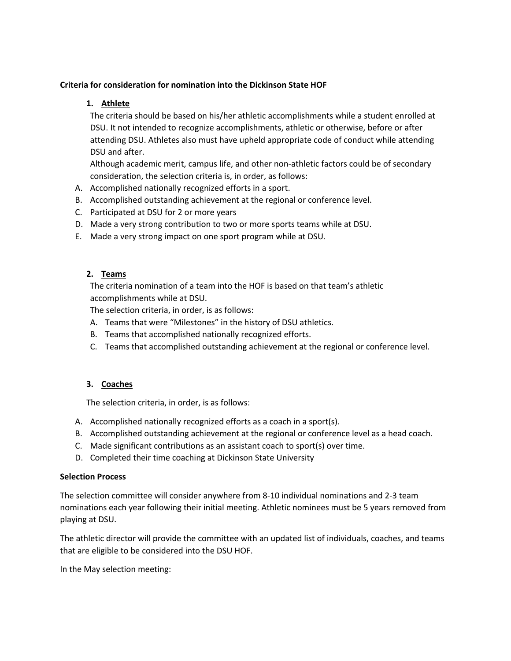### **Criteria for consideration for nomination into the Dickinson State HOF**

### **1. Athlete**

The criteria should be based on his/her athletic accomplishments while a student enrolled at DSU. It not intended to recognize accomplishments, athletic or otherwise, before or after attending DSU. Athletes also must have upheld appropriate code of conduct while attending DSU and after.

Although academic merit, campus life, and other non-athletic factors could be of secondary consideration, the selection criteria is, in order, as follows:

- A. Accomplished nationally recognized efforts in a sport.
- B. Accomplished outstanding achievement at the regional or conference level.
- C. Participated at DSU for 2 or more years
- D. Made a very strong contribution to two or more sports teams while at DSU.
- E. Made a very strong impact on one sport program while at DSU.

### **2. Teams**

The criteria nomination of a team into the HOF is based on that team's athletic accomplishments while at DSU.

The selection criteria, in order, is as follows:

- A. Teams that were "Milestones" in the history of DSU athletics.
- B. Teams that accomplished nationally recognized efforts.
- C. Teams that accomplished outstanding achievement at the regional or conference level.

### **3. Coaches**

The selection criteria, in order, is as follows:

- A. Accomplished nationally recognized efforts as a coach in a sport(s).
- B. Accomplished outstanding achievement at the regional or conference level as a head coach.
- C. Made significant contributions as an assistant coach to sport(s) over time.
- D. Completed their time coaching at Dickinson State University

### **Selection Process**

The selection committee will consider anywhere from 8-10 individual nominations and 2-3 team nominations each year following their initial meeting. Athletic nominees must be 5 years removed from playing at DSU.

The athletic director will provide the committee with an updated list of individuals, coaches, and teams that are eligible to be considered into the DSU HOF.

In the May selection meeting: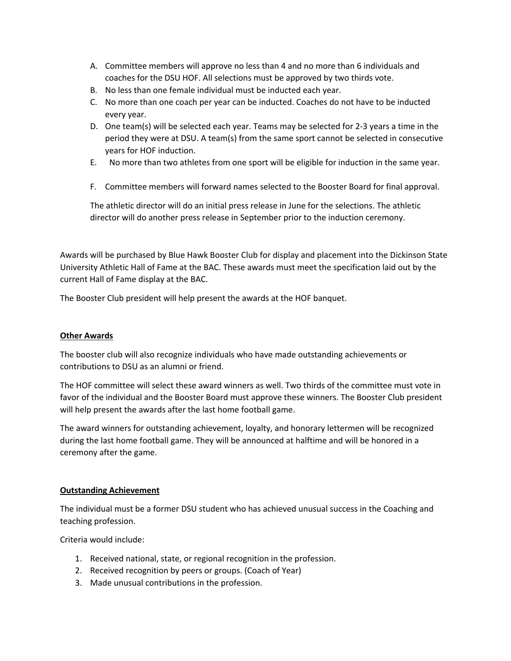- A. Committee members will approve no less than 4 and no more than 6 individuals and coaches for the DSU HOF. All selections must be approved by two thirds vote.
- B. No less than one female individual must be inducted each year.
- C. No more than one coach per year can be inducted. Coaches do not have to be inducted every year.
- D. One team(s) will be selected each year. Teams may be selected for 2-3 years a time in the period they were at DSU. A team(s) from the same sport cannot be selected in consecutive years for HOF induction.
- E. No more than two athletes from one sport will be eligible for induction in the same year.
- F. Committee members will forward names selected to the Booster Board for final approval.

The athletic director will do an initial press release in June for the selections. The athletic director will do another press release in September prior to the induction ceremony.

Awards will be purchased by Blue Hawk Booster Club for display and placement into the Dickinson State University Athletic Hall of Fame at the BAC. These awards must meet the specification laid out by the current Hall of Fame display at the BAC.

The Booster Club president will help present the awards at the HOF banquet.

### **Other Awards**

The booster club will also recognize individuals who have made outstanding achievements or contributions to DSU as an alumni or friend.

The HOF committee will select these award winners as well. Two thirds of the committee must vote in favor of the individual and the Booster Board must approve these winners. The Booster Club president will help present the awards after the last home football game.

The award winners for outstanding achievement, loyalty, and honorary lettermen will be recognized during the last home football game. They will be announced at halftime and will be honored in a ceremony after the game.

### **Outstanding Achievement**

The individual must be a former DSU student who has achieved unusual success in the Coaching and teaching profession.

Criteria would include:

- 1. Received national, state, or regional recognition in the profession.
- 2. Received recognition by peers or groups. (Coach of Year)
- 3. Made unusual contributions in the profession.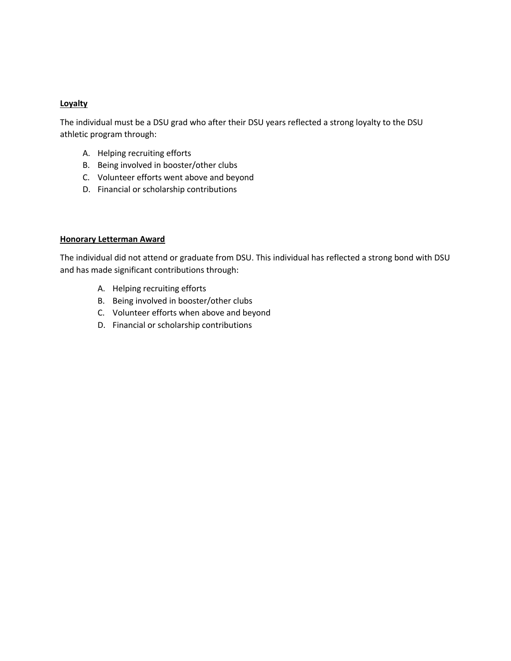### **Loyalty**

The individual must be a DSU grad who after their DSU years reflected a strong loyalty to the DSU athletic program through:

- A. Helping recruiting efforts
- B. Being involved in booster/other clubs
- C. Volunteer efforts went above and beyond
- D. Financial or scholarship contributions

### **Honorary Letterman Award**

The individual did not attend or graduate from DSU. This individual has reflected a strong bond with DSU and has made significant contributions through:

- A. Helping recruiting efforts
- B. Being involved in booster/other clubs
- C. Volunteer efforts when above and beyond
- D. Financial or scholarship contributions